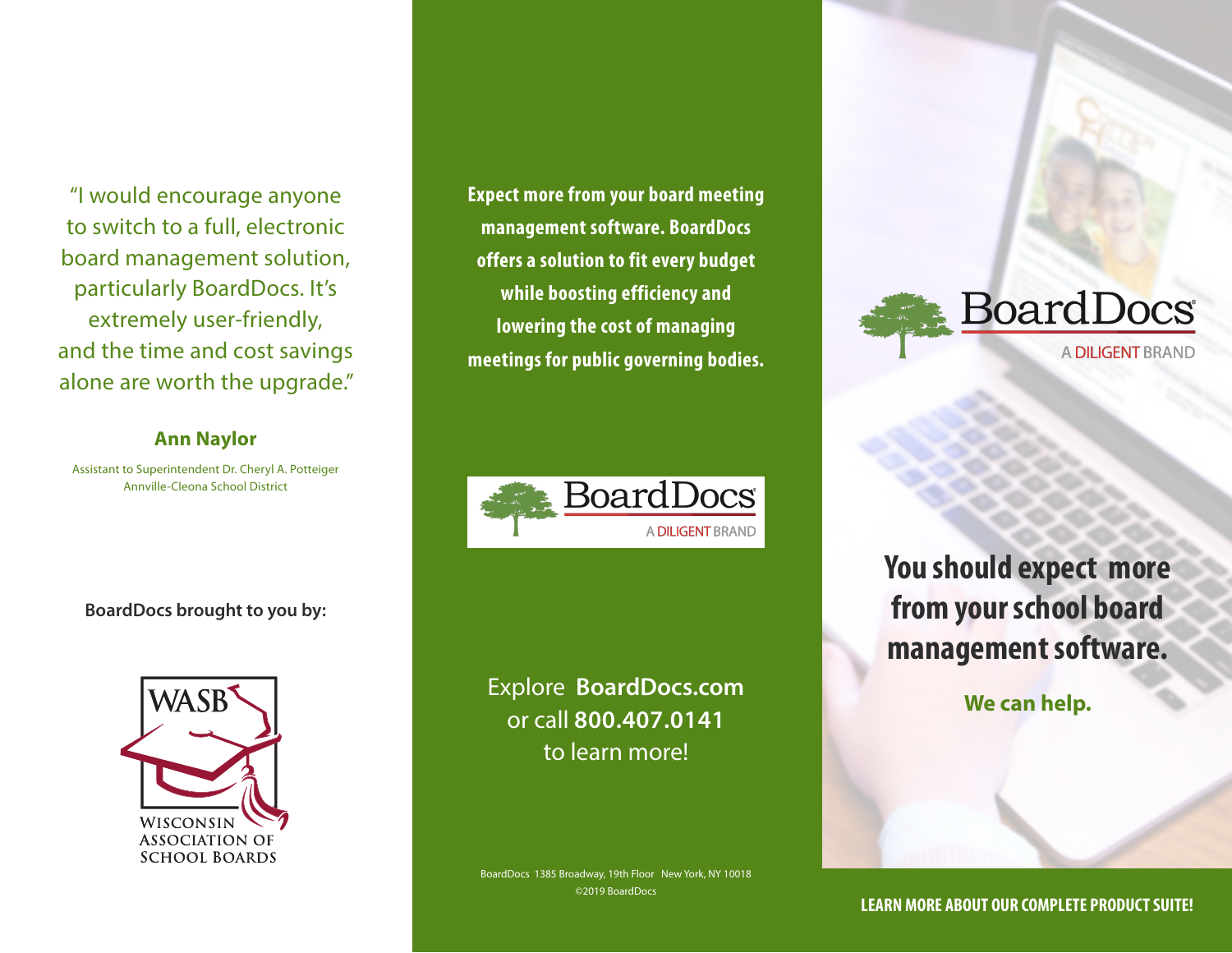"I would encourage anyone to switch to a full, electronic board management solution, particularly BoardDocs. It's extremely user-friendly, and the time and cost savings alone are worth the upgrade."

### **Ann Naylor**

Assistant to Superintendent Dr. Cheryl A. Potteiger Annville-Cleona School District

**BoardDocs brought to you by:**



**Expect more from your board meeting management software. BoardDocs offers a solution to fit every budget while boosting efficiency and lowering the cost of managing meetings for public governing bodies.**



Explore **BoardDocs.com** or call **800.407.0141** to learn more!

BoardDocs 1385 Broadway, 19th Floor New York, NY 10018 ©2019 BoardDocs



**You should expect more from your school board management software.**

**We can help.**